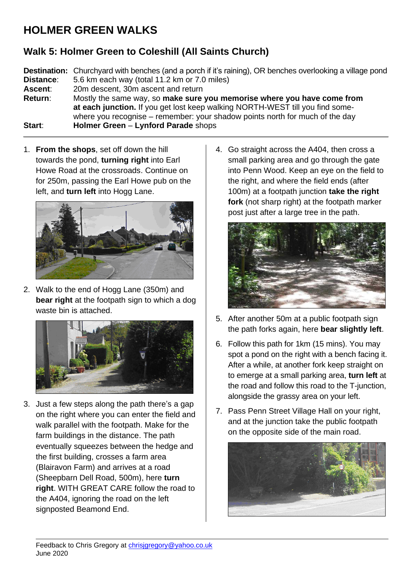## **HOLMER GREEN WALKS**

## **Walk 5: Holmer Green to Coleshill (All Saints Church)**

**Destination:** Churchyard with benches (and a porch if it's raining), OR benches overlooking a village pond **Distance**: 5.6 km each way (total 11.2 km or 7.0 miles) **Ascent**: 20m descent, 30m ascent and return **Return**: Mostly the same way, so **make sure you memorise where you have come from at each junction.** If you get lost keep walking NORTH-WEST till you find somewhere you recognise – remember: your shadow points north for much of the day **Start**: **Holmer Green** – **Lynford Parade** shops

1. **From the shops**, set off down the hill towards the pond, **turning right** into Earl Howe Road at the crossroads. Continue on for 250m, passing the Earl Howe pub on the left, and **turn left** into Hogg Lane.



2. Walk to the end of Hogg Lane (350m) and **bear right** at the footpath sign to which a dog waste bin is attached.



3. Just a few steps along the path there's a gap on the right where you can enter the field and walk parallel with the footpath. Make for the farm buildings in the distance. The path eventually squeezes between the hedge and the first building, crosses a farm area (Blairavon Farm) and arrives at a road (Sheepbarn Dell Road, 500m), here **turn right**. WITH GREAT CARE follow the road to the A404, ignoring the road on the left signposted Beamond End.

4. Go straight across the A404, then cross a small parking area and go through the gate into Penn Wood. Keep an eye on the field to the right, and where the field ends (after 100m) at a footpath junction **take the right fork** (not sharp right) at the footpath marker post just after a large tree in the path.



- 5. After another 50m at a public footpath sign the path forks again, here **bear slightly left**.
- 6. Follow this path for 1km (15 mins). You may spot a pond on the right with a bench facing it. After a while, at another fork keep straight on to emerge at a small parking area, **turn left** at the road and follow this road to the T-junction, alongside the grassy area on your left.
- 7. Pass Penn Street Village Hall on your right, and at the junction take the public footpath on the opposite side of the main road.